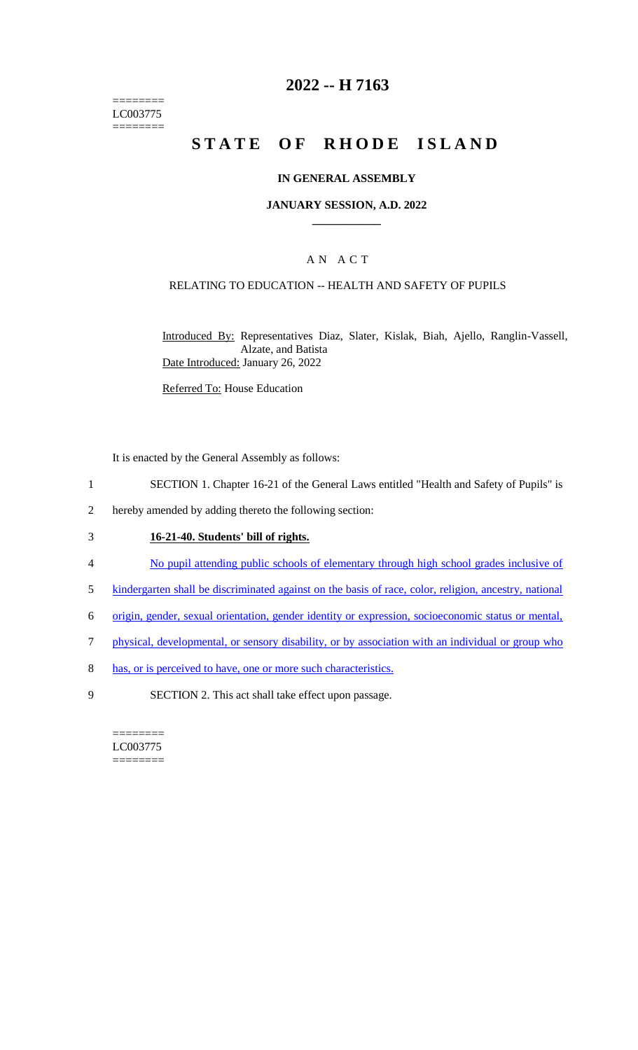======== LC003775  $=$ 

# **2022 -- H 7163**

# **STATE OF RHODE ISLAND**

#### **IN GENERAL ASSEMBLY**

#### **JANUARY SESSION, A.D. 2022 \_\_\_\_\_\_\_\_\_\_\_\_**

### A N A C T

#### RELATING TO EDUCATION -- HEALTH AND SAFETY OF PUPILS

Introduced By: Representatives Diaz, Slater, Kislak, Biah, Ajello, Ranglin-Vassell, Alzate, and Batista Date Introduced: January 26, 2022

Referred To: House Education

It is enacted by the General Assembly as follows:

- 1 SECTION 1. Chapter 16-21 of the General Laws entitled "Health and Safety of Pupils" is
- 2 hereby amended by adding thereto the following section:

## 3 **16-21-40. Students' bill of rights.**

- 4 No pupil attending public schools of elementary through high school grades inclusive of
- 5 kindergarten shall be discriminated against on the basis of race, color, religion, ancestry, national
- 6 origin, gender, sexual orientation, gender identity or expression, socioeconomic status or mental,
- 7 physical, developmental, or sensory disability, or by association with an individual or group who
- 8 has, or is perceived to have, one or more such characteristics.
- 9 SECTION 2. This act shall take effect upon passage.

======== LC003775 ========